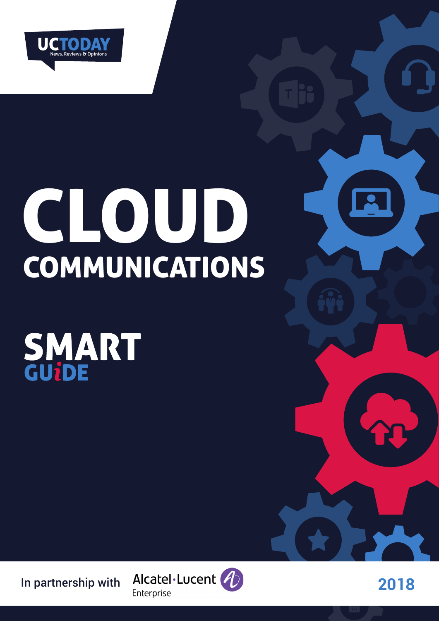

# CLOUD COMMUNICATIONS

SMART



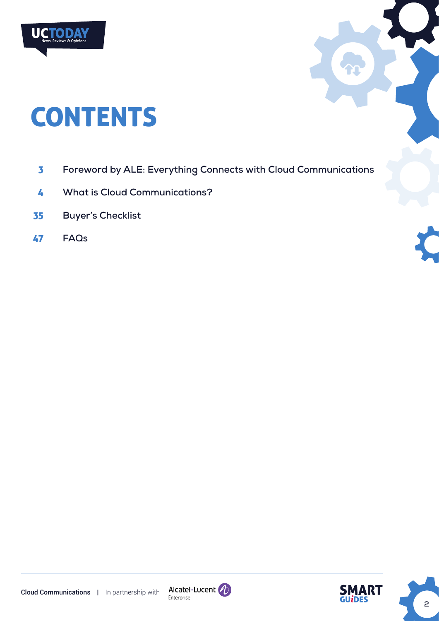

# **CONTENTS**

- **[Foreword by ALE: Everything Connects with Cloud Communications](#page-2-0)** 3
- **[What is Cloud Communications?](#page-3-0)** 4
- **[Buyer's Checklist](#page-34-0)** 35
- **[FAQs](#page-46-0)** 47





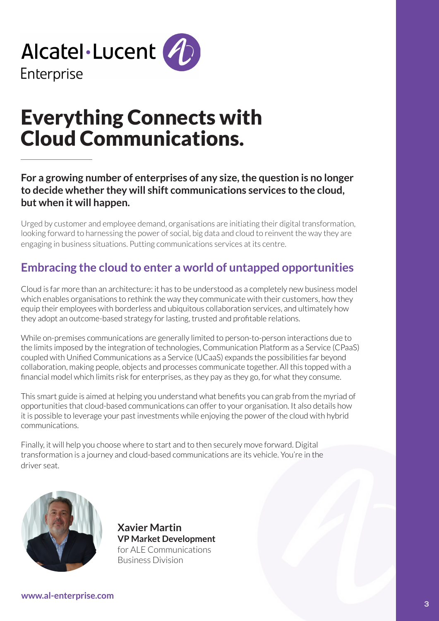<span id="page-2-0"></span>

# Everything Connects with Cloud Communications.

**For a growing number of enterprises of any size, the question is no longer to decide whether they will shift communications services to the cloud, but when it will happen.**

Urged by customer and employee demand, organisations are initiating their digital transformation, looking forward to harnessing the power of social, big data and cloud to reinvent the way they are engaging in business situations. Putting communications services at its centre.

# **Embracing the cloud to enter a world of untapped opportunities**

Cloud is far more than an architecture: it has to be understood as a completely new business model which enables organisations to rethink the way they communicate with their customers, how they equip their employees with borderless and ubiquitous collaboration services, and ultimately how they adopt an outcome-based strategy for lasting, trusted and profitable relations.

While on-premises communications are generally limited to person-to-person interactions due to the limits imposed by the integration of technologies, Communication Platform as a Service (CPaaS) coupled with Unified Communications as a Service (UCaaS) expands the possibilities far beyond collaboration, making people, objects and processes communicate together. All this topped with a financial model which limits risk for enterprises, as they pay as they go, for what they consume.

This smart guide is aimed at helping you understand what benefits you can grab from the myriad of opportunities that cloud-based communications can offer to your organisation. It also details how it is possible to leverage your past investments while enjoying the power of the cloud with hybrid communications.

Finally, it will help you choose where to start and to then securely move forward. Digital transformation is a journey and cloud-based communications are its vehicle. You're in the driver seat.



**Xavier Martin VP Market Development** for ALE Communications Business Division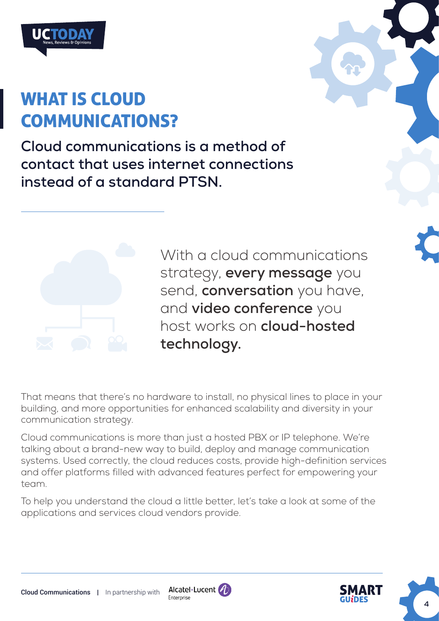<span id="page-3-0"></span>

# WHAT IS CLOUD COMMUNICATIONS?

**Cloud communications is a method of contact that uses internet connections instead of a standard PTSN.** 



With a cloud communications strategy, **every message** you send, **conversation** you have, and **video conference** you host works on **cloud-hosted technology.**

That means that there's no hardware to install, no physical lines to place in your building, and more opportunities for enhanced scalability and diversity in your communication strategy.

Cloud communications is more than just a hosted PBX or IP telephone. We're talking about a brand-new way to build, deploy and manage communication systems. Used correctly, the cloud reduces costs, provide high-definition services and offer platforms filled with advanced features perfect for empowering your team.

To help you understand the cloud a little better, let's take a look at some of the applications and services cloud vendors provide.



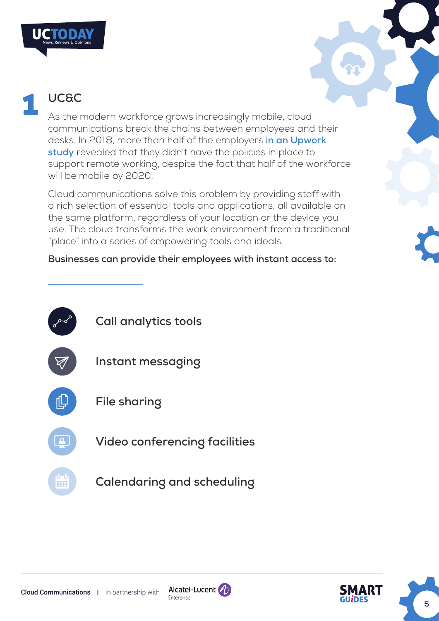

# **UC&C**

As the modern workforce grows increasingly mobile, cloud communications break the chains between employees and their desks. In 2018, more than half of the employers **[in an Upwork](https://www.upwork.com/press/2018/02/28/future-workforce-report-2018/)  [study](https://www.upwork.com/press/2018/02/28/future-workforce-report-2018/)** revealed that they didn't have the policies in place to support remote working, despite the fact that half of the workforce will be mobile by 2020.

Cloud communications solve this problem by providing staff with a rich selection of essential tools and applications, all available on the same platform, regardless of your location or the device you use. The cloud transforms the work environment from a traditional "place" into a series of empowering tools and ideals.

## **Businesses can provide their employees with instant access to:**





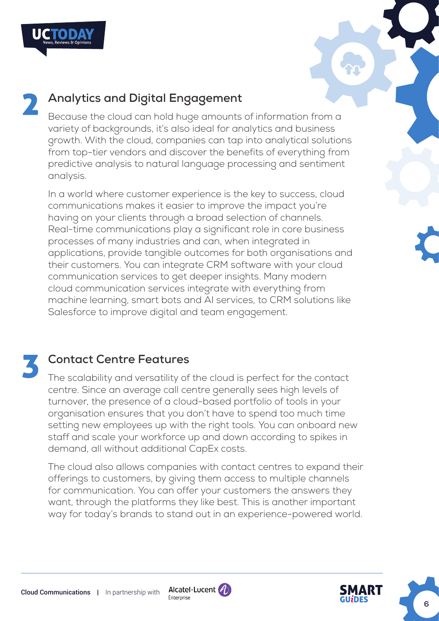

Because the cloud can hold huge amounts of information from a variety of backgrounds, it's also ideal for analytics and business growth. With the cloud, companies can tap into analytical solutions from top-tier vendors and discover the benefits of everything from predictive analysis to natural language processing and sentiment analysis.

In a world where customer experience is the key to success, cloud communications makes it easier to improve the impact you're having on your clients through a broad selection of channels. Real-time communications play a significant role in core business processes of many industries and can, when integrated in applications, provide tangible outcomes for both organisations and their customers. You can integrate CRM software with your cloud communication services to get deeper insights. Many modern cloud communication services integrate with everything from machine learning, smart bots and AI services, to CRM solutions like Salesforce to improve digital and team engagement.

## **Contact Centre Features**

The scalability and versatility of the cloud is perfect for the contact centre. Since an average call centre generally sees high levels of turnover, the presence of a cloud-based portfolio of tools in your organisation ensures that you don't have to spend too much time setting new employees up with the right tools. You can onboard new staff and scale your workforce up and down according to spikes in demand, all without additional CapEx costs.

The cloud also allows companies with contact centres to expand their offerings to customers, by giving them access to multiple channels for communication. You can offer your customers the answers they want, through the platforms they like best. This is another important way for today's brands to stand out in an experience-powered world.



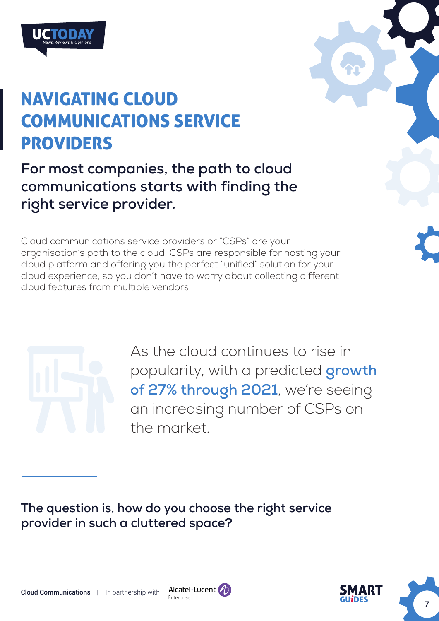

# NAVIGATING CLOUD COMMUNICATIONS SERVICE PROVIDERS

**For most companies, the path to cloud communications starts with finding the right service provider.** 

Cloud communications service providers or "CSPs" are your organisation's path to the cloud. CSPs are responsible for hosting your cloud platform and offering you the perfect "unified" solution for your cloud experience, so you don't have to worry about collecting different cloud features from multiple vendors.



As the cloud continues to rise in popularity, with a predicted **[growth](https://www.broadviewnet.com/uploads/Frost-and-Sullivan-Buyers-Guide-2016-Broadview.pdf)  [of 27% through 2021](https://www.broadviewnet.com/uploads/Frost-and-Sullivan-Buyers-Guide-2016-Broadview.pdf)**, we're seeing an increasing number of CSPs on the market.

**The question is, how do you choose the right service provider in such a cluttered space?**



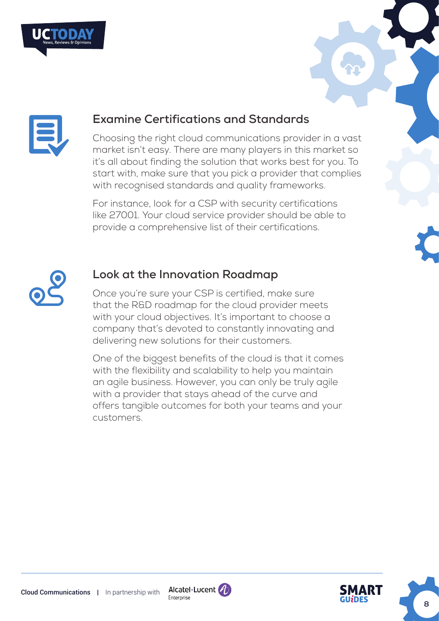



## **Examine Certifications and Standards**

Choosing the right cloud communications provider in a vast market isn't easy. There are many players in this market so it's all about finding the solution that works best for you. To start with, make sure that you pick a provider that complies with recognised standards and quality frameworks.

For instance, look for a CSP with security certifications like 27001. Your cloud service provider should be able to provide a comprehensive list of their certifications.



## **Look at the Innovation Roadmap**

Once you're sure your CSP is certified, make sure that the R&D roadmap for the cloud provider meets with your cloud objectives. It's important to choose a company that's devoted to constantly innovating and delivering new solutions for their customers.

One of the biggest benefits of the cloud is that it comes with the flexibility and scalability to help you maintain an agile business. However, you can only be truly agile with a provider that stays ahead of the curve and offers tangible outcomes for both your teams and your customers.



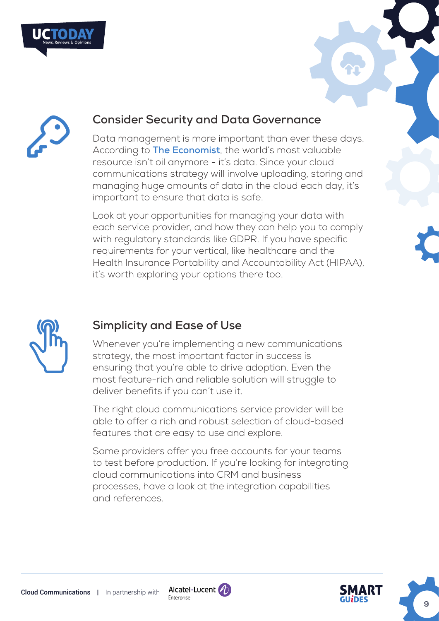



# **Consider Security and Data Governance**

Data management is more important than ever these days. According to **[The Economist](https://www.economist.com/leaders/2017/05/06/the-worlds-most-valuable-resource-is-no-longer-oil-but-data)**, the world's most valuable resource isn't oil anymore - it's data. Since your cloud communications strategy will involve uploading, storing and managing huge amounts of data in the cloud each day, it's important to ensure that data is safe.

Look at your opportunities for managing your data with each service provider, and how they can help you to comply with regulatory standards like GDPR. If you have specific requirements for your vertical, like healthcare and the Health Insurance Portability and Accountability Act (HIPAA), it's worth exploring your options there too.



# **Simplicity and Ease of Use**

Whenever you're implementing a new communications strategy, the most important factor in success is ensuring that you're able to drive adoption. Even the most feature-rich and reliable solution will struggle to deliver benefits if you can't use it.

The right cloud communications service provider will be able to offer a rich and robust selection of cloud-based features that are easy to use and explore.

Some providers offer you free accounts for your teams to test before production. If you're looking for integrating cloud communications into CRM and business processes, have a look at the integration capabilities and references.



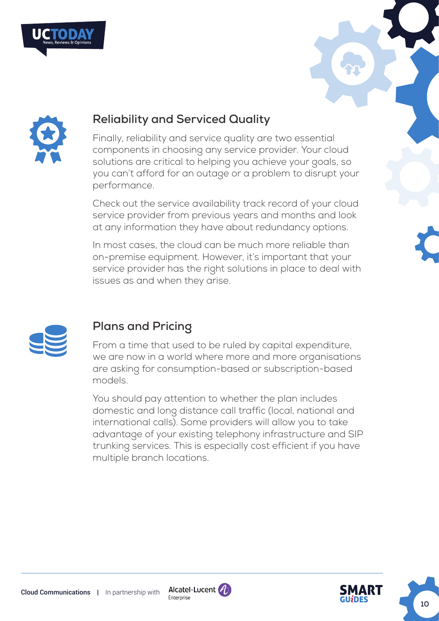





## **Reliability and Serviced Quality**

Finally, reliability and service quality are two essential components in choosing any service provider. Your cloud solutions are critical to helping you achieve your goals, so you can't afford for an outage or a problem to disrupt your performance.

Check out the service availability track record of your cloud service provider from previous years and months and look at any information they have about redundancy options.

In most cases, the cloud can be much more reliable than on-premise equipment. However, it's important that your service provider has the right solutions in place to deal with issues as and when they arise.



# **Plans and Pricing**

From a time that used to be ruled by capital expenditure, we are now in a world where more and more organisations are asking for consumption-based or subscription-based models.

You should pay attention to whether the plan includes domestic and long distance call traffic (local, national and international calls). Some providers will allow you to take advantage of your existing telephony infrastructure and SIP trunking services. This is especially cost efficient if you have multiple branch locations.



**10**

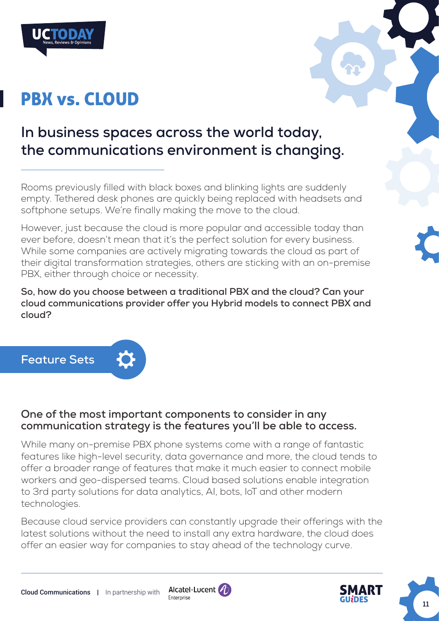# PBX vs. CLOUD

# **In business spaces across the world today, the communications environment is changing.**

Rooms previously filled with black boxes and blinking lights are suddenly empty. Tethered desk phones are quickly being replaced with headsets and softphone setups. We're finally making the move to the cloud.

However, just because the cloud is more popular and accessible today than ever before, doesn't mean that it's the perfect solution for every business. While some companies are actively migrating towards the cloud as part of their digital transformation strategies, others are sticking with an on-premise PBX, either through choice or necessity.

**So, how do you choose between a traditional PBX and the cloud? Can your cloud communications provider offer you Hybrid models to connect PBX and cloud?**



## **One of the most important components to consider in any communication strategy is the features you'll be able to access.**

While many on-premise PBX phone systems come with a range of fantastic features like high-level security, data governance and more, the cloud tends to offer a broader range of features that make it much easier to connect mobile workers and geo-dispersed teams. Cloud based solutions enable integration to 3rd party solutions for data analytics, AI, bots, IoT and other modern technologies.

Because cloud service providers can constantly upgrade their offerings with the latest solutions without the need to install any extra hardware, the cloud does offer an easier way for companies to stay ahead of the technology curve.

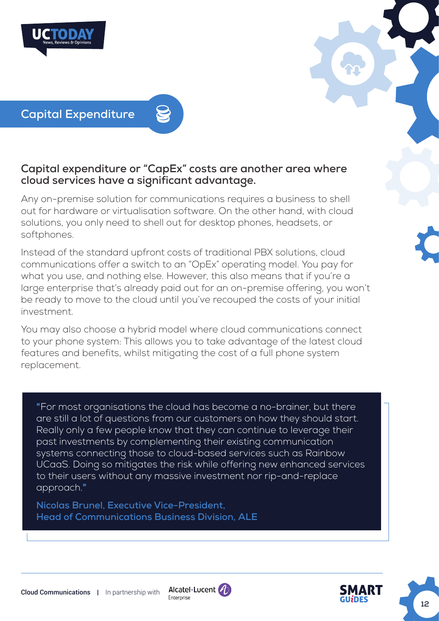



**Capital Expenditure**

## **Capital expenditure or "CapEx" costs are another area where cloud services have a significant advantage.**

Any on-premise solution for communications requires a business to shell out for hardware or virtualisation software. On the other hand, with cloud solutions, you only need to shell out for desktop phones, headsets, or softphones.

Instead of the standard upfront costs of traditional PBX solutions, cloud communications offer a switch to an "OpEx" operating model. You pay for what you use, and nothing else. However, this also means that if you're a large enterprise that's already paid out for an on-premise offering, you won't be ready to move to the cloud until you've recouped the costs of your initial investment.

You may also choose a hybrid model where cloud communications connect to your phone system: This allows you to take advantage of the latest cloud features and benefits, whilst mitigating the cost of a full phone system replacement.

"For most organisations the cloud has become a no-brainer, but there are still a lot of questions from our customers on how they should start. Really only a few people know that they can continue to leverage their past investments by complementing their existing communication systems connecting those to cloud-based services such as Rainbow UCaaS. Doing so mitigates the risk while offering new enhanced services to their users without any massive investment nor rip-and-replace approach."

**Nicolas Brunel, Executive Vice-President, Head of Communications Business Division, ALE** 



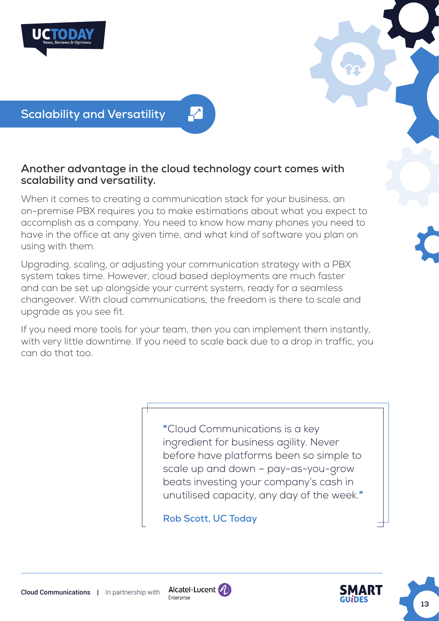



## **Another advantage in the cloud technology court comes with scalability and versatility.**

When it comes to creating a communication stack for your business, an on-premise PBX requires you to make estimations about what you expect to accomplish as a company. You need to know how many phones you need to have in the office at any given time, and what kind of software you plan on using with them.

Upgrading, scaling, or adjusting your communication strategy with a PBX system takes time. However, cloud based deployments are much faster and can be set up alongside your current system, ready for a seamless changeover. With cloud communications, the freedom is there to scale and upgrade as you see fit.

If you need more tools for your team, then you can implement them instantly, with very little downtime. If you need to scale back due to a drop in traffic, you can do that too.

> "Cloud Communications is a key ingredient for business agility. Never before have platforms been so simple to scale up and down – pay-as-you-grow beats investing your company's cash in unutilised capacity, any day of the week."

**Rob Scott, UC Today**



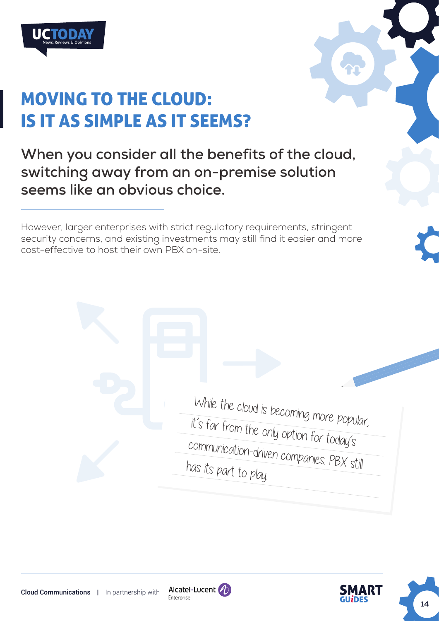

# MOVING TO THE CLOUD: IS IT AS SIMPLE AS IT SEEMS?

**When you consider all the benefits of the cloud, switching away from an on-premise solution seems like an obvious choice.** 

However, larger enterprises with strict regulatory requirements, stringent security concerns, and existing investments may still find it easier and more cost-effective to host their own PBX on-site.

> While the cloud is becoming more popular, it's far from the only option for today's communication-driven companies. PBX still has its part to play.



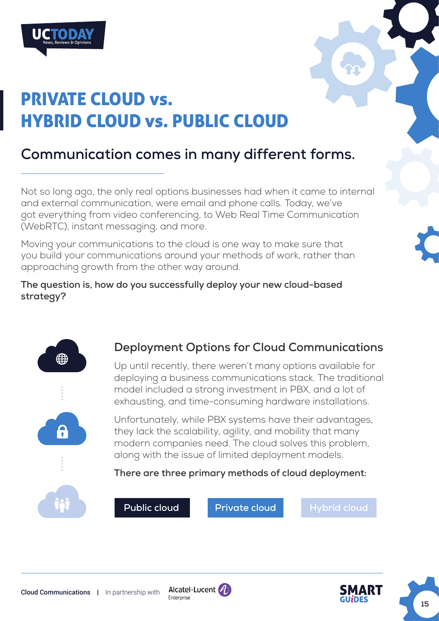



# **Communication comes in many different forms.**

Not so long ago, the only real options businesses had when it came to internal and external communication, were email and phone calls. Today, we've got everything from video conferencing, to Web Real Time Communication (WebRTC), instant messaging, and more.

Moving your communications to the cloud is one way to make sure that you build your communications around your methods of work, rather than approaching growth from the other way around.

**The question is, how do you successfully deploy your new cloud-based strategy?**



# **Deployment Options for Cloud Communications**

Up until recently, there weren't many options available for deploying a business communications stack. The traditional model included a strong investment in PBX, and a lot of exhausting, and time-consuming hardware installations.

Unfortunately, while PBX systems have their advantages, they lack the scalability, agility, and mobility that many modern companies need. The cloud solves this problem, along with the issue of limited deployment models.

**There are three primary methods of cloud deployment:**



 **Public cloud Private cloud Hybrid cloud** 



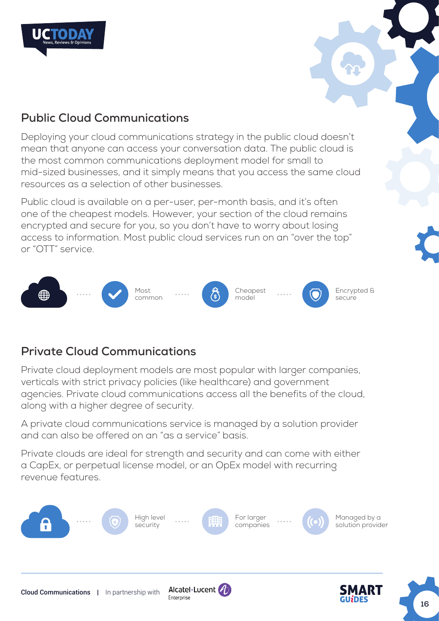



# **Public Cloud Communications**

Deploying your cloud communications strategy in the public cloud doesn't mean that anyone can access your conversation data. The public cloud is the most common communications deployment model for small to mid-sized businesses, and it simply means that you access the same cloud resources as a selection of other businesses.

Public cloud is available on a per-user, per-month basis, and it's often one of the cheapest models. However, your section of the cloud remains encrypted and secure for you, so you don't have to worry about losing access to information. Most public cloud services run on an "over the top" or "OTT" service.



# **Private Cloud Communications**

Private cloud deployment models are most popular with larger companies, verticals with strict privacy policies (like healthcare) and government agencies. Private cloud communications access all the benefits of the cloud, along with a higher degree of security.

A private cloud communications service is managed by a solution provider and can also be offered on an "as a service" basis.

Private clouds are ideal for strength and security and can come with either a CapEx, or perpetual license model, or an OpEx model with recurring revenue features.

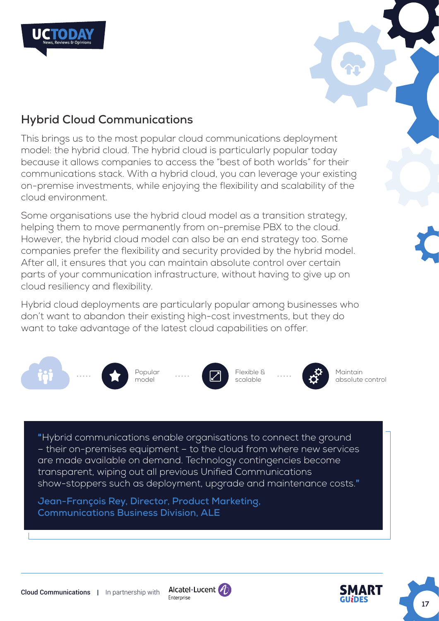



# **Hybrid Cloud Communications**

This brings us to the most popular cloud communications deployment model: the hybrid cloud. The hybrid cloud is particularly popular today because it allows companies to access the "best of both worlds" for their communications stack. With a hybrid cloud, you can leverage your existing on-premise investments, while enjoying the flexibility and scalability of the cloud environment.

Some organisations use the hybrid cloud model as a transition strategy, helping them to move permanently from on-premise PBX to the cloud. However, the hybrid cloud model can also be an end strategy too. Some companies prefer the flexibility and security provided by the hybrid model. After all, it ensures that you can maintain absolute control over certain parts of your communication infrastructure, without having to give up on cloud resiliency and flexibility.

Hybrid cloud deployments are particularly popular among businesses who don't want to abandon their existing high-cost investments, but they do want to take advantage of the latest cloud capabilities on offer.



"Hybrid communications enable organisations to connect the ground – their on-premises equipment – to the cloud from where new services are made available on demand. Technology contingencies become transparent, wiping out all previous Unified Communications show-stoppers such as deployment, upgrade and maintenance costs."

**Jean-François Rey, Director, Product Marketing, Communications Business Division, ALE**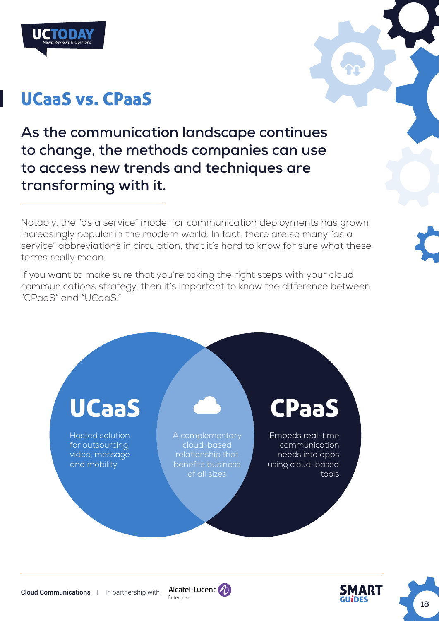

# UCaaS vs. CPaaS

**As the communication landscape continues to change, the methods companies can use to access new trends and techniques are transforming with it.** 

Notably, the "as a service" model for communication deployments has grown increasingly popular in the modern world. In fact, there are so many "as a service" abbreviations in circulation, that it's hard to know for sure what these terms really mean.

If you want to make sure that you're taking the right steps with your cloud communications strategy, then it's important to know the difference between "CPaaS" and "UCaaS."





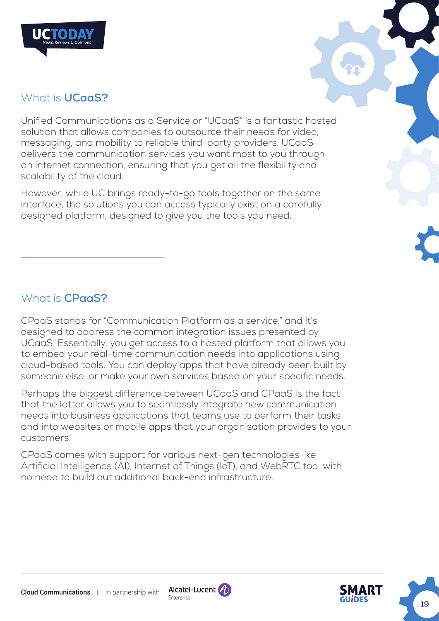



## What is **UCaaS?**

Unified Communications as a Service or "UCaaS" is a fantastic hosted solution that allows companies to outsource their needs for video, messaging, and mobility to reliable third-party providers. UCaaS delivers the communication services you want most to you through an internet connection, ensuring that you get all the flexibility and scalability of the cloud.

However, while UC brings ready-to-go tools together on the same interface, the solutions you can access typically exist on a carefully designed platform, designed to give you the tools you need.

## What is **CPaaS?**

CPaaS stands for "Communication Platform as a service," and it's designed to address the common integration issues presented by UCaaS. Essentially, you get access to a hosted platform that allows you to embed your real-time communication needs into applications using cloud-based tools. You can deploy apps that have already been built by someone else, or make your own services based on your specific needs.

Perhaps the biggest difference between UCaaS and CPaaS is the fact that the latter allows you to seamlessly integrate new communication needs into business applications that teams use to perform their tasks and into websites or mobile apps that your organisation provides to your customers.

CPaaS comes with support for various next-gen technologies like Artificial Intelligence (AI), Internet of Things (IoT), and WebRTC too, with no need to build out additional back-end infrastructure.



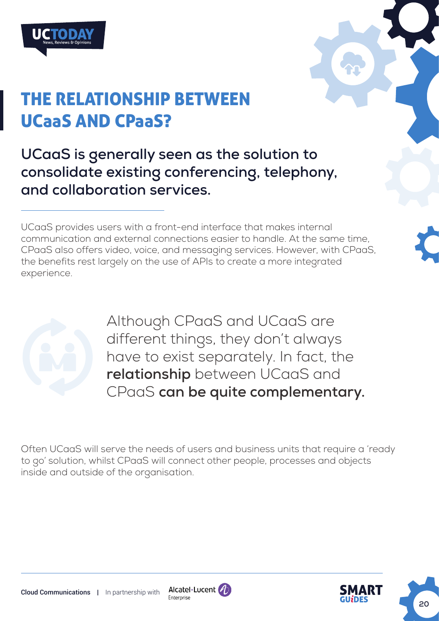

# THE RELATIONSHIP BETWEEN UCaaS AND CPaaS?

**UCaaS is generally seen as the solution to consolidate existing conferencing, telephony, and collaboration services.** 

UCaaS provides users with a front-end interface that makes internal communication and external connections easier to handle. At the same time, CPaaS also offers video, voice, and messaging services. However, with CPaaS, the benefits rest largely on the use of APIs to create a more integrated experience.



Although CPaaS and UCaaS are different things, they don't always have to exist separately. In fact, the **relationship** between UCaaS and CPaaS **can be quite complementary.**

Often UCaaS will serve the needs of users and business units that require a 'ready to go' solution, whilst CPaaS will connect other people, processes and objects inside and outside of the organisation.

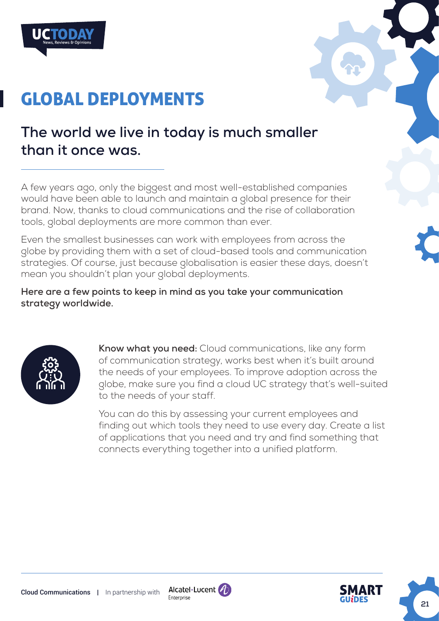

# GLOBAL DEPLOYMENTS

# **The world we live in today is much smaller than it once was.**

A few years ago, only the biggest and most well-established companies would have been able to launch and maintain a global presence for their brand. Now, thanks to cloud communications and the rise of collaboration tools, global deployments are more common than ever.

Even the smallest businesses can work with employees from across the globe by providing them with a set of cloud-based tools and communication strategies. Of course, just because globalisation is easier these days, doesn't mean you shouldn't plan your global deployments.

**Here are a few points to keep in mind as you take your communication strategy worldwide.** 



**Know what you need:** Cloud communications, like any form of communication strategy, works best when it's built around the needs of your employees. To improve adoption across the globe, make sure you find a cloud UC strategy that's well-suited to the needs of your staff.

You can do this by assessing your current employees and finding out which tools they need to use every day. Create a list of applications that you need and try and find something that connects everything together into a unified platform.



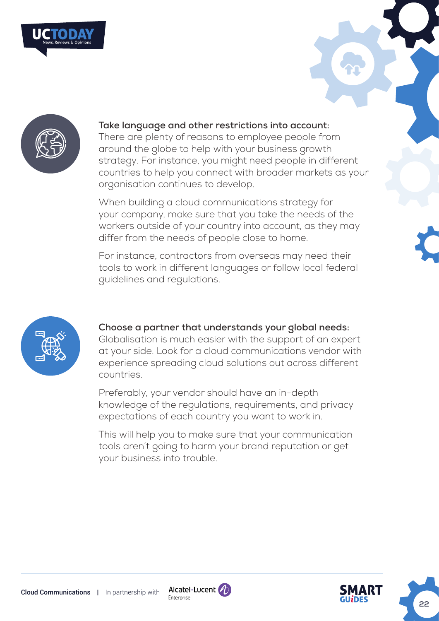



#### **Take language and other restrictions into account:**

There are plenty of reasons to employee people from around the globe to help with your business growth strategy. For instance, you might need people in different countries to help you connect with broader markets as your organisation continues to develop.

When building a cloud communications strategy for your company, make sure that you take the needs of the workers outside of your country into account, as they may differ from the needs of people close to home.

For instance, contractors from overseas may need their tools to work in different languages or follow local federal guidelines and regulations.



#### **Choose a partner that understands your global needs:**

Globalisation is much easier with the support of an expert at your side. Look for a cloud communications vendor with experience spreading cloud solutions out across different countries.

Preferably, your vendor should have an in-depth knowledge of the regulations, requirements, and privacy expectations of each country you want to work in.

This will help you to make sure that your communication tools aren't going to harm your brand reputation or get your business into trouble.



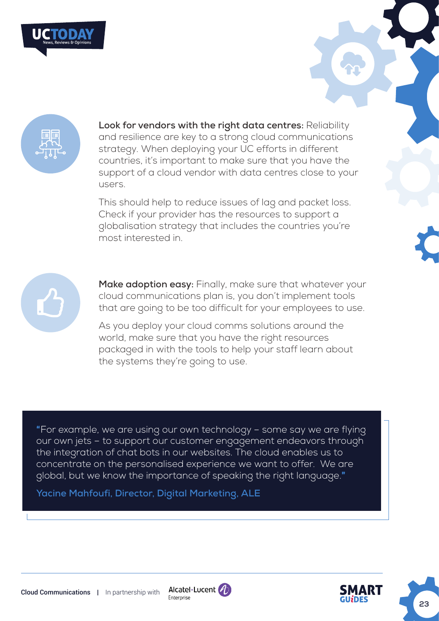



**Look for vendors with the right data centres:** Reliability and resilience are key to a strong cloud communications strategy. When deploying your UC efforts in different countries, it's important to make sure that you have the support of a cloud vendor with data centres close to your users.

This should help to reduce issues of lag and packet loss. Check if your provider has the resources to support a globalisation strategy that includes the countries you're most interested in.



**Make adoption easy:** Finally, make sure that whatever your cloud communications plan is, you don't implement tools that are going to be too difficult for your employees to use.

As you deploy your cloud comms solutions around the world, make sure that you have the right resources packaged in with the tools to help your staff learn about the systems they're going to use.

"For example, we are using our own technology – some say we are flying our own jets – to support our customer engagement endeavors through the integration of chat bots in our websites. The cloud enables us to concentrate on the personalised experience we want to offer. We are global, but we know the importance of speaking the right language."

**Yacine Mahfoufi, Director, Digital Marketing, ALE** 



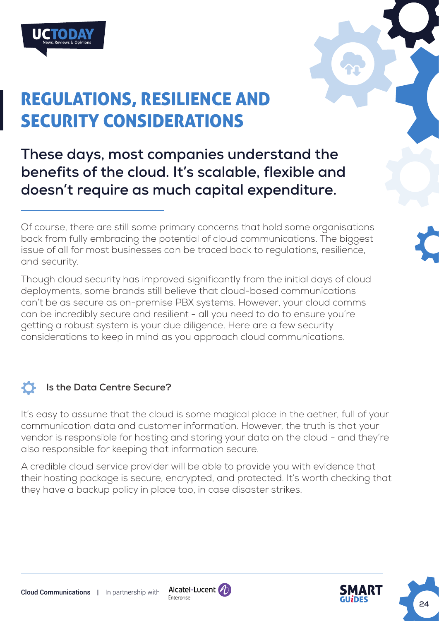

# REGULATIONS, RESILIENCE AND SECURITY CONSIDERATIONS

**These days, most companies understand the benefits of the cloud. It's scalable, flexible and doesn't require as much capital expenditure.**

Though cloud security has improved significantly from the initial days of cloud deployments, some brands still believe that cloud-based communications can't be as secure as on-premise PBX systems. However, your cloud comms can be incredibly secure and resilient - all you need to do to ensure you're getting a robust system is your due diligence. Here are a few security considerations to keep in mind as you approach cloud communications.

#### $\bullet$ **Is the Data Centre Secure?**

It's easy to assume that the cloud is some magical place in the aether, full of your communication data and customer information. However, the truth is that your vendor is responsible for hosting and storing your data on the cloud - and they're also responsible for keeping that information secure.

A credible cloud service provider will be able to provide you with evidence that their hosting package is secure, encrypted, and protected. It's worth checking that they have a backup policy in place too, in case disaster strikes.





Of course, there are still some primary concerns that hold some organisations back from fully embracing the potential of cloud communications. The biggest issue of all for most businesses can be traced back to regulations, resilience, and security.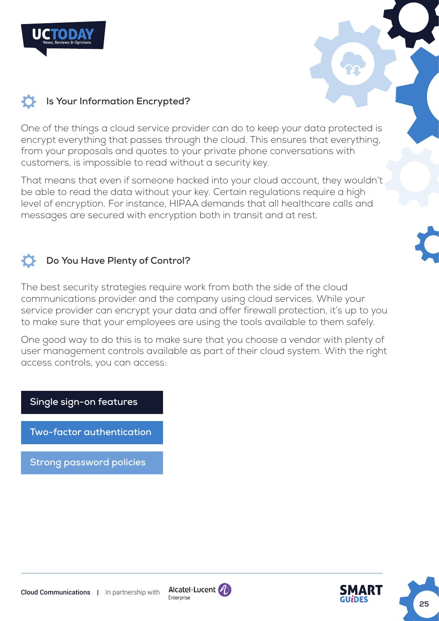





# **25**

# **Is Your Information Encrypted?**

One of the things a cloud service provider can do to keep your data protected is encrypt everything that passes through the cloud. This ensures that everything, from your proposals and quotes to your private phone conversations with customers, is impossible to read without a security key.

That means that even if someone hacked into your cloud account, they wouldn't be able to read the data without your key. Certain regulations require a high level of encryption. For instance, HIPAA demands that all healthcare calls and messages are secured with encryption both in transit and at rest.

## **Do You Have Plenty of Control?**

The best security strategies require work from both the side of the cloud communications provider and the company using cloud services. While your service provider can encrypt your data and offer firewall protection, it's up to you to make sure that your employees are using the tools available to them safely.

One good way to do this is to make sure that you choose a vendor with plenty of user management controls available as part of their cloud system. With the right access controls, you can access:

**Single sign-on features**

**Two-factor authentication**

**Strong password policies**



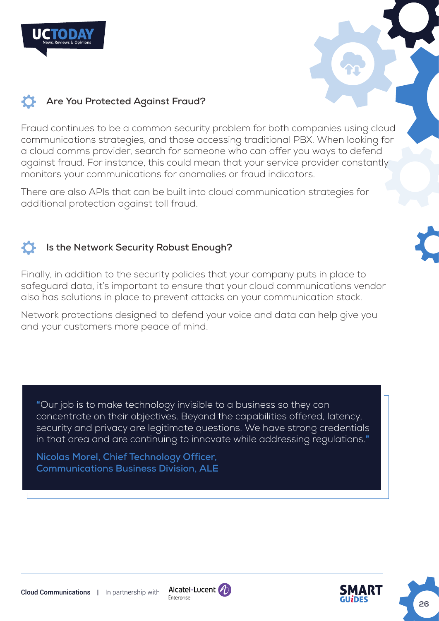

Fraud continues to be a common security problem for both companies using cloud communications strategies, and those accessing traditional PBX. When looking for a cloud comms provider, search for someone who can offer you ways to defend against fraud. For instance, this could mean that your service provider constantly monitors your communications for anomalies or fraud indicators.

There are also APIs that can be built into cloud communication strategies for additional protection against toll fraud.

## **Is the Network Security Robust Enough?**

Finally, in addition to the security policies that your company puts in place to safeguard data, it's important to ensure that your cloud communications vendor also has solutions in place to prevent attacks on your communication stack.

Network protections designed to defend your voice and data can help give you and your customers more peace of mind.

"Our job is to make technology invisible to a business so they can concentrate on their objectives. Beyond the capabilities offered, latency, security and privacy are legitimate questions. We have strong credentials in that area and are continuing to innovate while addressing regulations."

**Nicolas Morel, Chief Technology Officer, Communications Business Division, ALE** 





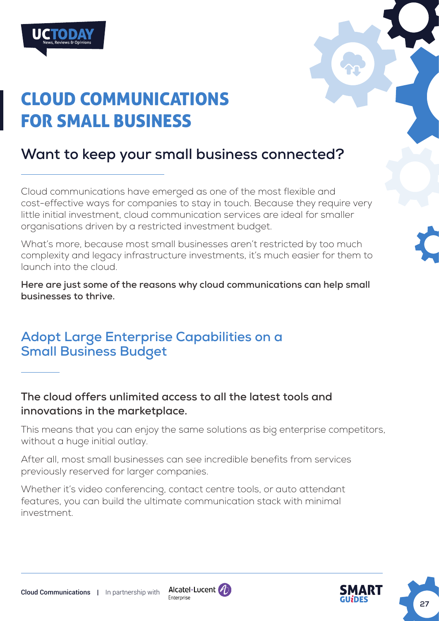

# CLOUD COMMUNICATIONS FOR SMALL BUSINESS

# **Want to keep your small business connected?**

Cloud communications have emerged as one of the most flexible and cost-effective ways for companies to stay in touch. Because they require very little initial investment, cloud communication services are ideal for smaller organisations driven by a restricted investment budget.

What's more, because most small businesses aren't restricted by too much complexity and legacy infrastructure investments, it's much easier for them to launch into the cloud.

**Here are just some of the reasons why cloud communications can help small businesses to thrive.**

# **Adopt Large Enterprise Capabilities on a Small Business Budget**

**The cloud offers unlimited access to all the latest tools and innovations in the marketplace.** 

This means that you can enjoy the same solutions as big enterprise competitors, without a huge initial outlay.

After all, most small businesses can see incredible benefits from services previously reserved for larger companies.

Whether it's video conferencing, contact centre tools, or auto attendant features, you can build the ultimate communication stack with minimal investment.



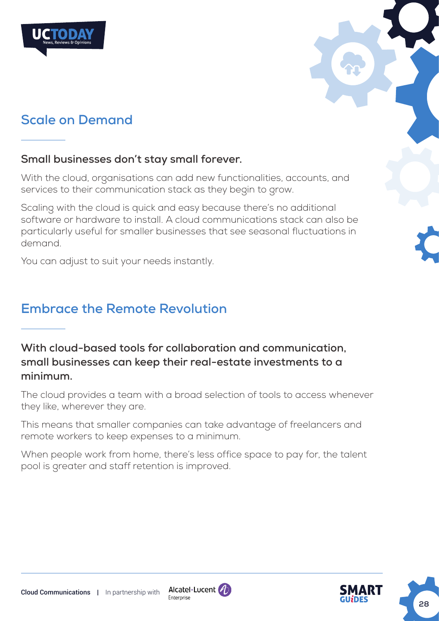

# **Scale on Demand**

## **Small businesses don't stay small forever.**

With the cloud, organisations can add new functionalities, accounts, and services to their communication stack as they begin to grow.

Scaling with the cloud is quick and easy because there's no additional software or hardware to install. A cloud communications stack can also be particularly useful for smaller businesses that see seasonal fluctuations in demand.

You can adjust to suit your needs instantly.

# **Embrace the Remote Revolution**

**With cloud-based tools for collaboration and communication, small businesses can keep their real-estate investments to a minimum.** 

The cloud provides a team with a broad selection of tools to access whenever they like, wherever they are.

This means that smaller companies can take advantage of freelancers and remote workers to keep expenses to a minimum.

When people work from home, there's less office space to pay for, the talent pool is greater and staff retention is improved.



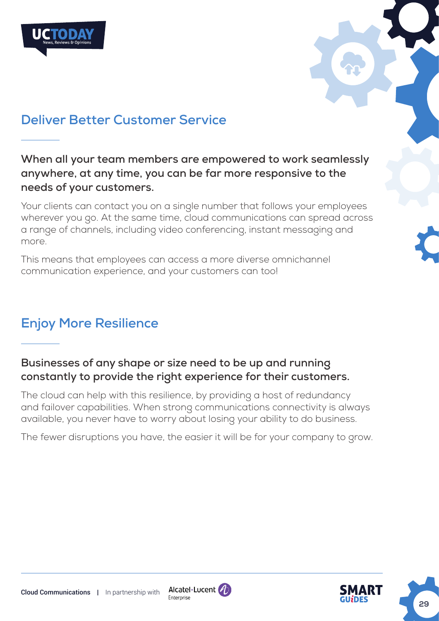



# **Deliver Better Customer Service**

**When all your team members are empowered to work seamlessly anywhere, at any time, you can be far more responsive to the needs of your customers.**

Your clients can contact you on a single number that follows your employees wherever you go. At the same time, cloud communications can spread across a range of channels, including video conferencing, instant messaging and more.

This means that employees can access a more diverse omnichannel communication experience, and your customers can too!

# **Enjoy More Resilience**

## **Businesses of any shape or size need to be up and running constantly to provide the right experience for their customers.**

The cloud can help with this resilience, by providing a host of redundancy and failover capabilities. When strong communications connectivity is always available, you never have to worry about losing your ability to do business.

The fewer disruptions you have, the easier it will be for your company to grow.



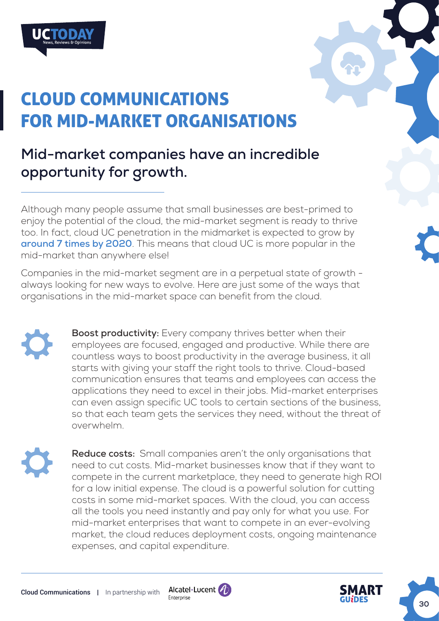

# CLOUD COMMUNICATIONS FOR MID-MARKET ORGANISATIONS

# **Mid-market companies have an incredible opportunity for growth.**

Although many people assume that small businesses are best-primed to enjoy the potential of the cloud, the mid-market segment is ready to thrive too. In fact, cloud UC penetration in the midmarket is expected to grow by **[around 7 times by 2020](https://www.broadsoft.com/blog/skype-for-business-risks-for-service-providers-0-1)**. This means that cloud UC is more popular in the mid-market than anywhere else!

Companies in the mid-market segment are in a perpetual state of growth always looking for new ways to evolve. Here are just some of the ways that organisations in the mid-market space can benefit from the cloud.

> **Boost productivity:** Every company thrives better when their employees are focused, engaged and productive. While there are countless ways to boost productivity in the average business, it all starts with giving your staff the right tools to thrive. Cloud-based communication ensures that teams and employees can access the applications they need to excel in their jobs. Mid-market enterprises can even assign specific UC tools to certain sections of the business, so that each team gets the services they need, without the threat of overwhelm.

**Reduce costs:** Small companies aren't the only organisations that need to cut costs. Mid-market businesses know that if they want to compete in the current marketplace, they need to generate high ROI for a low initial expense. The cloud is a powerful solution for cutting costs in some mid-market spaces. With the cloud, you can access all the tools you need instantly and pay only for what you use. For mid-market enterprises that want to compete in an ever-evolving market, the cloud reduces deployment costs, ongoing maintenance expenses, and capital expenditure.



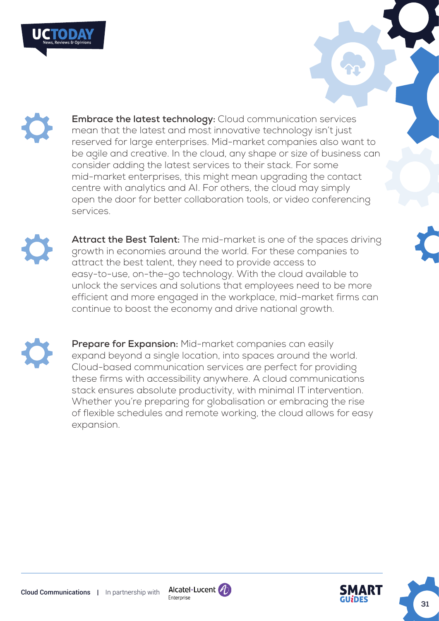

**Embrace the latest technology:** Cloud communication services mean that the latest and most innovative technology isn't just reserved for large enterprises. Mid-market companies also want to be agile and creative. In the cloud, any shape or size of business can consider adding the latest services to their stack. For some mid-market enterprises, this might mean upgrading the contact centre with analytics and AI. For others, the cloud may simply open the door for better collaboration tools, or video conferencing services.



**Attract the Best Talent:** The mid-market is one of the spaces driving growth in economies around the world. For these companies to attract the best talent, they need to provide access to easy-to-use, on-the-go technology. With the cloud available to unlock the services and solutions that employees need to be more efficient and more engaged in the workplace, mid-market firms can continue to boost the economy and drive national growth.

**Prepare for Expansion:** Mid-market companies can easily expand beyond a single location, into spaces around the world. Cloud-based communication services are perfect for providing these firms with accessibility anywhere. A cloud communications stack ensures absolute productivity, with minimal IT intervention. Whether you're preparing for globalisation or embracing the rise of flexible schedules and remote working, the cloud allows for easy expansion.



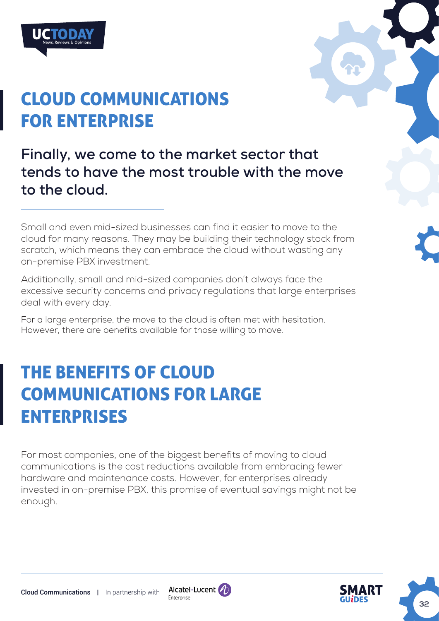

# CLOUD COMMUNICATIONS FOR ENTERPRISE

**Finally, we come to the market sector that tends to have the most trouble with the move to the cloud.** 

Small and even mid-sized businesses can find it easier to move to the cloud for many reasons. They may be building their technology stack from scratch, which means they can embrace the cloud without wasting any on-premise PBX investment.

Additionally, small and mid-sized companies don't always face the excessive security concerns and privacy regulations that large enterprises deal with every day.

For a large enterprise, the move to the cloud is often met with hesitation. However, there are benefits available for those willing to move.

# THE BENEFITS OF CLOUD COMMUNICATIONS FOR LARGE ENTERPRISES

For most companies, one of the biggest benefits of moving to cloud communications is the cost reductions available from embracing fewer hardware and maintenance costs. However, for enterprises already invested in on-premise PBX, this promise of eventual savings might not be enough.





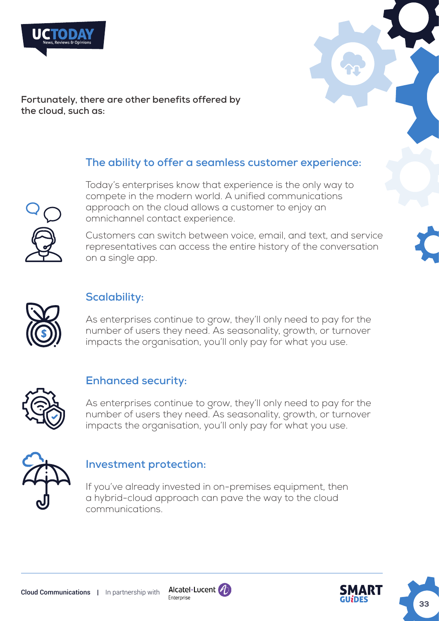



**Fortunately, there are other benefits offered by the cloud, such as:**

## **The ability to offer a seamless customer experience:**



Today's enterprises know that experience is the only way to compete in the modern world. A unified communications approach on the cloud allows a customer to enjoy an omnichannel contact experience.

Customers can switch between voice, email, and text, and service representatives can access the entire history of the conversation on a single app.



## **Scalability:**

As enterprises continue to grow, they'll only need to pay for the number of users they need. As seasonality, growth, or turnover impacts the organisation, you'll only pay for what you use.



## **Enhanced security:**

As enterprises continue to grow, they'll only need to pay for the number of users they need. As seasonality, growth, or turnover impacts the organisation, you'll only pay for what you use.



## **Investment protection:**

If you've already invested in on-premises equipment, then a hybrid-cloud approach can pave the way to the cloud communications.



**33**

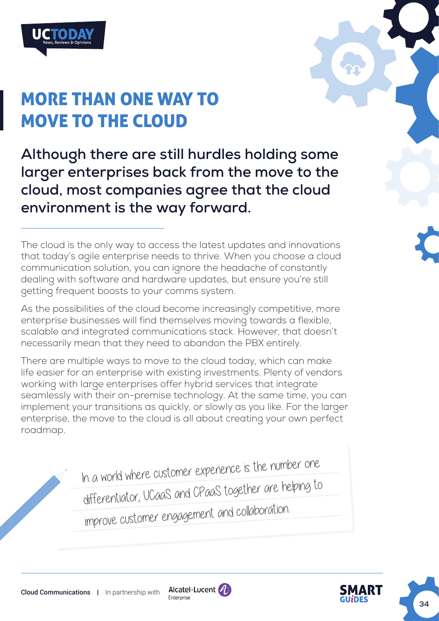

# MORE THAN ONE WAY TO MOVE TO THE CLOUD

**Although there are still hurdles holding some larger enterprises back from the move to the cloud, most companies agree that the cloud environment is the way forward.** 

The cloud is the only way to access the latest updates and innovations that today's agile enterprise needs to thrive. When you choose a cloud communication solution, you can ignore the headache of constantly dealing with software and hardware updates, but ensure you're still getting frequent boosts to your comms system.

As the possibilities of the cloud become increasingly competitive, more enterprise businesses will find themselves moving towards a flexible, scalable and integrated communications stack. However, that doesn't necessarily mean that they need to abandon the PBX entirely.

There are multiple ways to move to the cloud today, which can make life easier for an enterprise with existing investments. Plenty of vendors working with large enterprises offer hybrid services that integrate seamlessly with their on-premise technology. At the same time, you can implement your transitions as quickly, or slowly as you like. For the larger enterprise, the move to the cloud is all about creating your own perfect roadmap.

In a world where customer experience is the number one

differentiator, UCaaS and CPaaS together are helping to

improve customer engagement and collaboration.





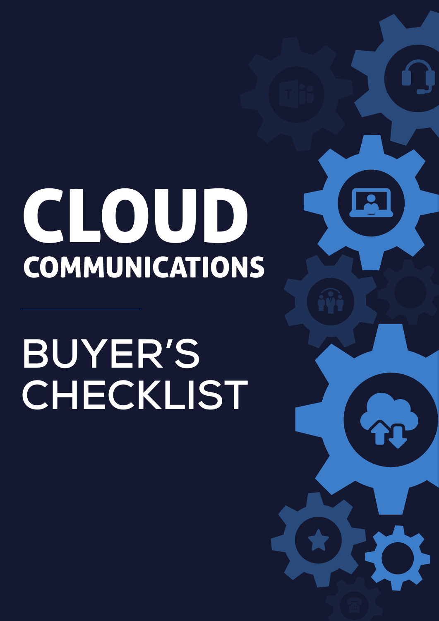# <span id="page-34-0"></span>CLOUD COMMUNICATIONS

# **BUYER'S CHECKLIST**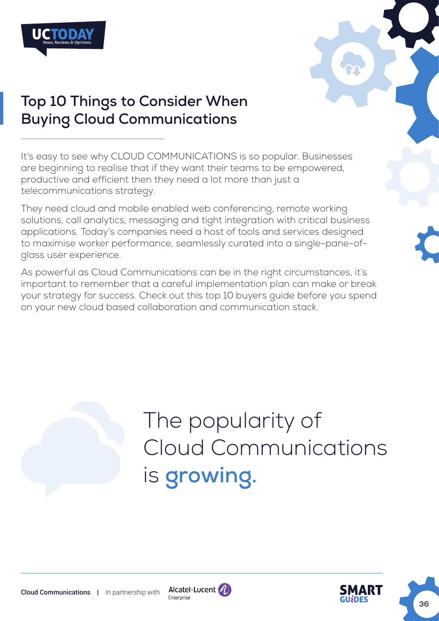



# **Top 10 Things to Consider When Buying Cloud Communications**

It's easy to see why CLOUD COMMUNICATIONS is so popular. Businesses are beginning to realise that if they want their teams to be empowered, productive and efficient then they need a lot more than just a telecommunications strategy.

They need cloud and mobile enabled web conferencing, remote working solutions, call analytics, messaging and tight integration with critical business applications. Today's companies need a host of tools and services designed to maximise worker performance, seamlessly curated into a single-pane-ofglass user experience.

As powerful as Cloud Communications can be in the right circumstances, it's important to remember that a careful implementation plan can make or break your strategy for success. Check out this top 10 buyers guide before you spend on your new cloud based collaboration and communication stack.

# The popularity of Cloud Communications is **[growing.](https://www.grandviewresearch.com/press-release/global-unified-communication)**



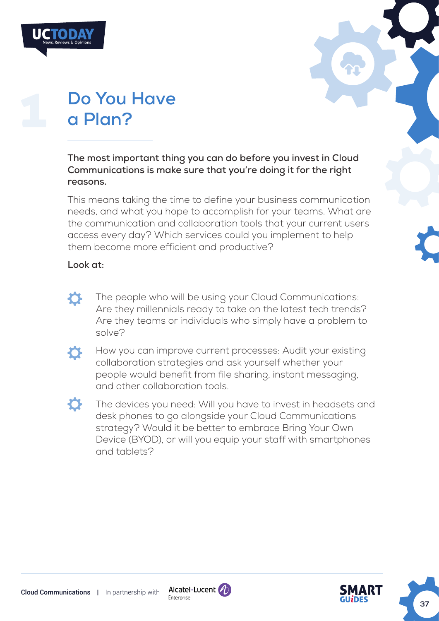| UCTODAY                  |  |
|--------------------------|--|
| News, Reviews & Opinions |  |
|                          |  |



# **Do You Have a Plan?**

**The most important thing you can do before you invest in Cloud Communications is make sure that you're doing it for the right reasons.** 

This means taking the time to define your business communication needs, and what you hope to accomplish for your teams. What are the communication and collaboration tools that your current users access every day? Which services could you implement to help them become more efficient and productive?

## **Look at:**

- The people who will be using your Cloud Communications:  $\boldsymbol{\sigma}$ Are they millennials ready to take on the latest tech trends? Are they teams or individuals who simply have a problem to solve?
- $\sigma$

How you can improve current processes: Audit your existing collaboration strategies and ask yourself whether your people would benefit from file sharing, instant messaging, and other collaboration tools.

 $\mathbf{C}$ 

The devices you need: Will you have to invest in headsets and desk phones to go alongside your Cloud Communications strategy? Would it be better to embrace Bring Your Own Device (BYOD), or will you equip your staff with smartphones and tablets?



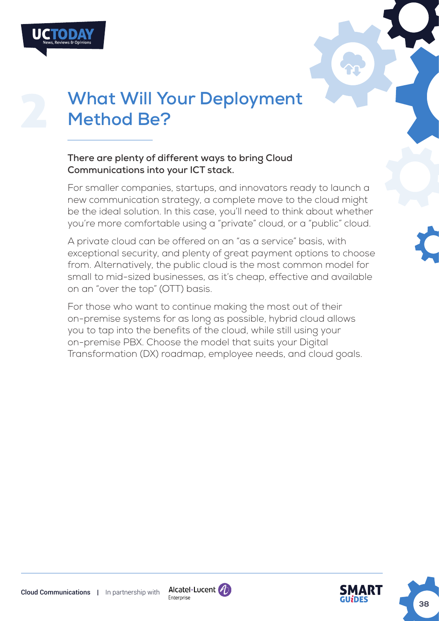

# **What Will Your Deployment Method Be?**

#### **There are plenty of different ways to bring Cloud Communications into your ICT stack.**

For smaller companies, startups, and innovators ready to launch a new communication strategy, a complete move to the cloud might be the ideal solution. In this case, you'll need to think about whether you're more comfortable using a "private" cloud, or a "public" cloud.

A private cloud can be offered on an "as a service" basis, with exceptional security, and plenty of great payment options to choose from. Alternatively, the public cloud is the most common model for small to mid-sized businesses, as it's cheap, effective and available on an "over the top" (OTT) basis.

For those who want to continue making the most out of their on-premise systems for as long as possible, hybrid cloud allows you to tap into the benefits of the cloud, while still using your on-premise PBX. Choose the model that suits your Digital Transformation (DX) roadmap, employee needs, and cloud goals.

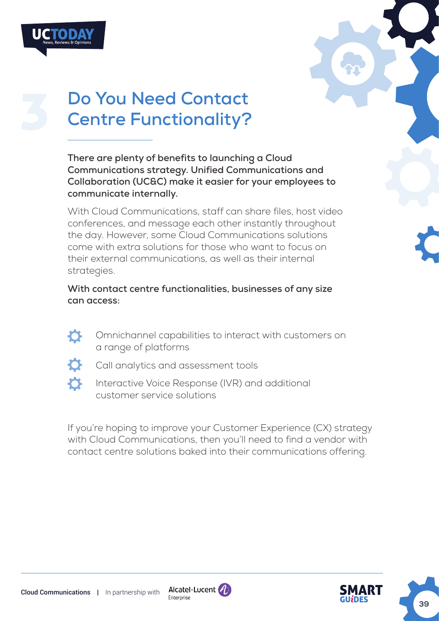



# **Do You Need Contact Centre Functionality?**

**There are plenty of benefits to launching a Cloud Communications strategy. Unified Communications and Collaboration (UC&C) make it easier for your employees to communicate internally.** 

With Cloud Communications, staff can share files, host video conferences, and message each other instantly throughout the day. However, some Cloud Communications solutions come with extra solutions for those who want to focus on their external communications, as well as their internal strategies.

**With contact centre functionalities, businesses of any size can access:**

Omnichannel capabilities to interact with customers on  $\bullet$ a range of platforms



- Call analytics and assessment tools
- Interactive Voice Response (IVR) and additional customer service solutions

If you're hoping to improve your Customer Experience (CX) strategy with Cloud Communications, then you'll need to find a vendor with contact centre solutions baked into their communications offering.



**39**



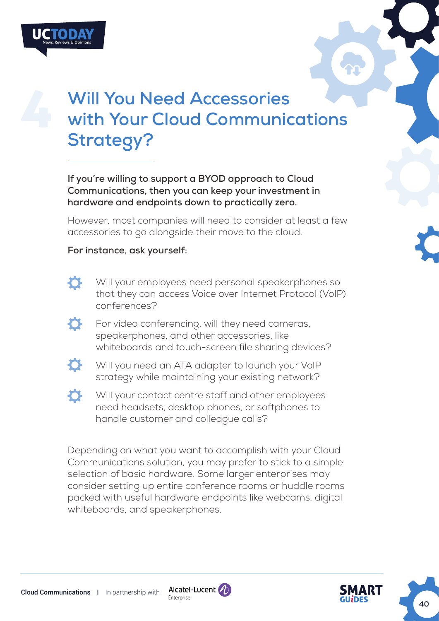

# **Will You Need Accessories with Your Cloud Communications Strategy?**

**If you're willing to support a BYOD approach to Cloud Communications, then you can keep your investment in hardware and endpoints down to practically zero.** 

However, most companies will need to consider at least a few accessories to go alongside their move to the cloud.

#### **For instance, ask yourself:**

- $\bullet$
- Will your employees need personal speakerphones so that they can access Voice over Internet Protocol (VoIP) conferences?
- For video conferencing, will they need cameras,  $\bullet$ speakerphones, and other accessories, like whiteboards and touch-screen file sharing devices?
- O. Will you need an ATA adapter to launch your VoIP strategy while maintaining your existing network?
- $\sigma$ Will your contact centre staff and other employees need headsets, desktop phones, or softphones to handle customer and colleague calls?

Depending on what you want to accomplish with your Cloud Communications solution, you may prefer to stick to a simple selection of basic hardware. Some larger enterprises may consider setting up entire conference rooms or huddle rooms packed with useful hardware endpoints like webcams, digital whiteboards, and speakerphones.



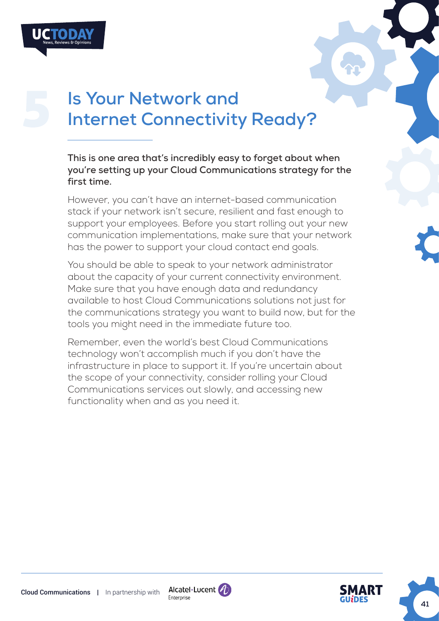

# **Is Your Network and Internet Connectivity Ready?**

**This is one area that's incredibly easy to forget about when you're setting up your Cloud Communications strategy for the first time.** 

However, you can't have an internet-based communication stack if your network isn't secure, resilient and fast enough to support your employees. Before you start rolling out your new communication implementations, make sure that your network has the power to support your cloud contact end goals.

You should be able to speak to your network administrator about the capacity of your current connectivity environment. Make sure that you have enough data and redundancy available to host Cloud Communications solutions not just for the communications strategy you want to build now, but for the tools you might need in the immediate future too.

Remember, even the world's best Cloud Communications technology won't accomplish much if you don't have the infrastructure in place to support it. If you're uncertain about the scope of your connectivity, consider rolling your Cloud Communications services out slowly, and accessing new functionality when and as you need it.



**41**

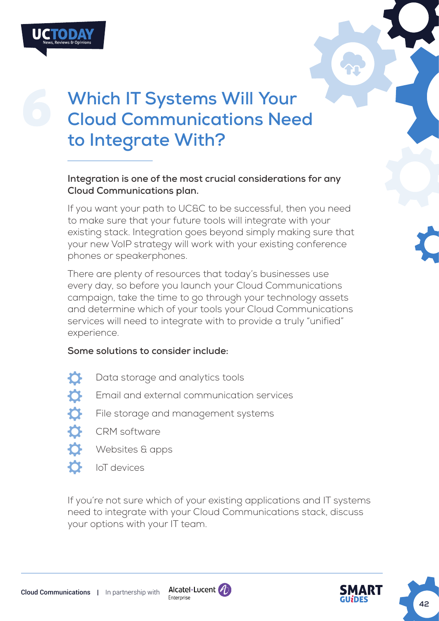

# **Which IT Systems Will Your Cloud Communications Need to Integrate With?**

#### **Integration is one of the most crucial considerations for any Cloud Communications plan.**

If you want your path to UC&C to be successful, then you need to make sure that your future tools will integrate with your existing stack. Integration goes beyond simply making sure that your new VoIP strategy will work with your existing conference phones or speakerphones.

There are plenty of resources that today's businesses use every day, so before you launch your Cloud Communications campaign, take the time to go through your technology assets and determine which of your tools your Cloud Communications services will need to integrate with to provide a truly "unified" experience.

## **Some solutions to consider include:**

 $\mathbf{\Omega}$  $\hat{\mathbf{v}}$ 

Data storage and analytics tools

- Email and external communication services
- File storage and management systems
- CRM software
- Websites & apps
- $\boldsymbol{\sigma}$ IoT devices

If you're not sure which of your existing applications and IT systems need to integrate with your Cloud Communications stack, discuss your options with your IT team.



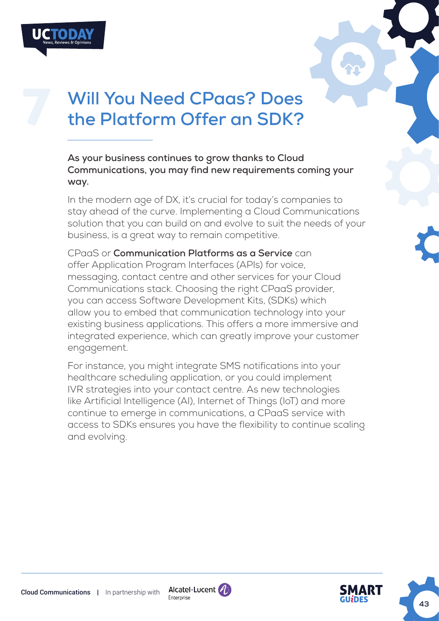



**As your business continues to grow thanks to Cloud Communications, you may find new requirements coming your way.** 

In the modern age of DX, it's crucial for today's companies to stay ahead of the curve. Implementing a Cloud Communications solution that you can build on and evolve to suit the needs of your business, is a great way to remain competitive.

CPaaS or **Communication Platforms as a Service** can offer Application Program Interfaces (APIs) for voice, messaging, contact centre and other services for your Cloud Communications stack. Choosing the right CPaaS provider, you can access Software Development Kits, (SDKs) which allow you to embed that communication technology into your existing business applications. This offers a more immersive and integrated experience, which can greatly improve your customer engagement.

For instance, you might integrate SMS notifications into your healthcare scheduling application, or you could implement IVR strategies into your contact centre. As new technologies like Artificial Intelligence (AI), Internet of Things (IoT) and more continue to emerge in communications, a CPaaS service with access to SDKs ensures you have the flexibility to continue scaling and evolving.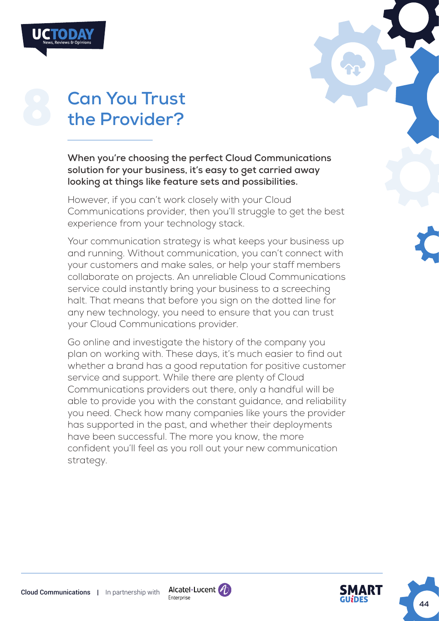| <b>Can You Trust</b> |
|----------------------|
| the Provider?        |

**When you're choosing the perfect Cloud Communications solution for your business, it's easy to get carried away looking at things like feature sets and possibilities.** 

However, if you can't work closely with your Cloud Communications provider, then you'll struggle to get the best experience from your technology stack.

Your communication strategy is what keeps your business up and running. Without communication, you can't connect with your customers and make sales, or help your staff members collaborate on projects. An unreliable Cloud Communications service could instantly bring your business to a screeching halt. That means that before you sign on the dotted line for any new technology, you need to ensure that you can trust your Cloud Communications provider.

Go online and investigate the history of the company you plan on working with. These days, it's much easier to find out whether a brand has a good reputation for positive customer service and support. While there are plenty of Cloud Communications providers out there, only a handful will be able to provide you with the constant guidance, and reliability you need. Check how many companies like yours the provider has supported in the past, and whether their deployments have been successful. The more you know, the more confident you'll feel as you roll out your new communication strategy.

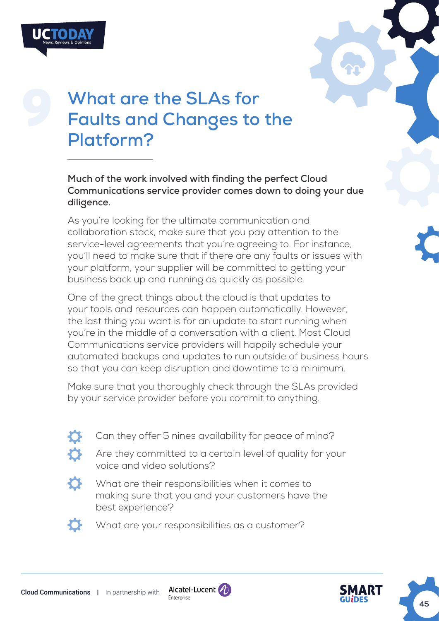



# **What are the SLAs for Faults and Changes to the Platform?**

**Much of the work involved with finding the perfect Cloud Communications service provider comes down to doing your due diligence.** 

As you're looking for the ultimate communication and collaboration stack, make sure that you pay attention to the service-level agreements that you're agreeing to. For instance, you'll need to make sure that if there are any faults or issues with your platform, your supplier will be committed to getting your business back up and running as quickly as possible.

One of the great things about the cloud is that updates to your tools and resources can happen automatically. However, the last thing you want is for an update to start running when you're in the middle of a conversation with a client. Most Cloud Communications service providers will happily schedule your automated backups and updates to run outside of business hours so that you can keep disruption and downtime to a minimum.

Make sure that you thoroughly check through the SLAs provided by your service provider before you commit to anything.

Can they offer 5 nines availability for peace of mind?

Are they committed to a certain level of quality for your voice and video solutions?



What are their responsibilities when it comes to making sure that you and your customers have the best experience?



What are your responsibilities as a customer?



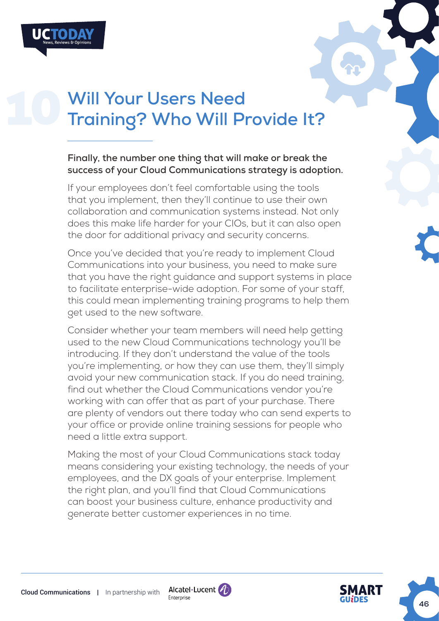# **Will Your Users Need Training? Who Will Provide It?**

#### **Finally, the number one thing that will make or break the success of your Cloud Communications strategy is adoption.**

If your employees don't feel comfortable using the tools that you implement, then they'll continue to use their own collaboration and communication systems instead. Not only does this make life harder for your CIOs, but it can also open the door for additional privacy and security concerns.

Once you've decided that you're ready to implement Cloud Communications into your business, you need to make sure that you have the right guidance and support systems in place to facilitate enterprise-wide adoption. For some of your staff, this could mean implementing training programs to help them get used to the new software.

Consider whether your team members will need help getting used to the new Cloud Communications technology you'll be introducing. If they don't understand the value of the tools you're implementing, or how they can use them, they'll simply avoid your new communication stack. If you do need training, find out whether the Cloud Communications vendor you're working with can offer that as part of your purchase. There are plenty of vendors out there today who can send experts to your office or provide online training sessions for people who need a little extra support.

Making the most of your Cloud Communications stack today means considering your existing technology, the needs of your employees, and the DX goals of your enterprise. Implement the right plan, and you'll find that Cloud Communications can boost your business culture, enhance productivity and generate better customer experiences in no time.



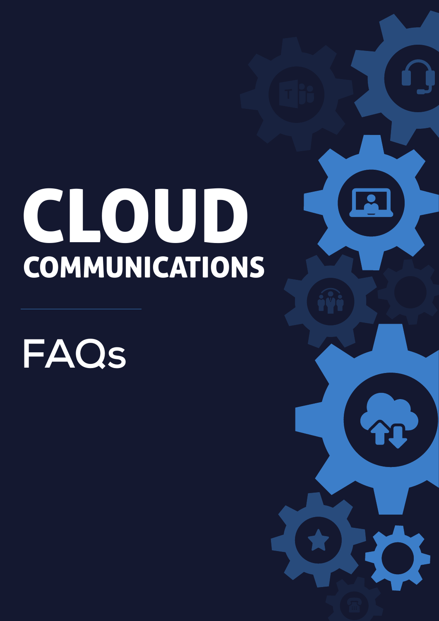# <span id="page-46-0"></span>CLOUD **COMMUNICATIONS**

**FAQs**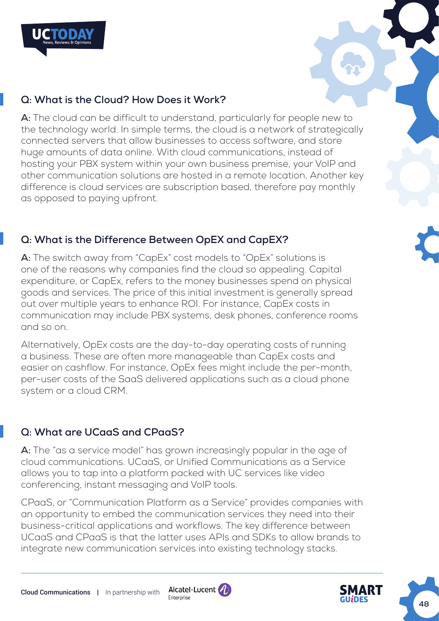

## **Q: What is the Cloud? How Does it Work?**

**A:** The cloud can be difficult to understand, particularly for people new to the technology world. In simple terms, the cloud is a network of strategically connected servers that allow businesses to access software, and store huge amounts of data online. With cloud communications, instead of hosting your PBX system within your own business premise, your VoIP and other communication solutions are hosted in a remote location. Another key difference is cloud services are subscription based, therefore pay monthly as opposed to paying upfront.

## **Q: What is the Difference Between OpEX and CapEX?**

**A:** The switch away from "CapEx" cost models to "OpEx" solutions is one of the reasons why companies find the cloud so appealing. Capital expenditure, or CapEx, refers to the money businesses spend on physical goods and services. The price of this initial investment is generally spread out over multiple years to enhance ROI. For instance, CapEx costs in communication may include PBX systems, desk phones, conference rooms and so on.

Alternatively, OpEx costs are the day-to-day operating costs of running a business. These are often more manageable than CapEx costs and easier on cashflow. For instance, OpEx fees might include the per-month, per-user costs of the SaaS delivered applications such as a cloud phone system or a cloud CRM.

## **Q: What are UCaaS and CPaaS?**

**A:** The "as a service model" has grown increasingly popular in the age of cloud communications. UCaaS, or Unified Communications as a Service allows you to tap into a platform packed with UC services like video conferencing, instant messaging and VoIP tools.

CPaaS, or "Communication Platform as a Service" provides companies with an opportunity to embed the communication services they need into their business-critical applications and workflows. The key difference between UCaaS and CPaaS is that the latter uses APIs and SDKs to allow brands to integrate new communication services into existing technology stacks.

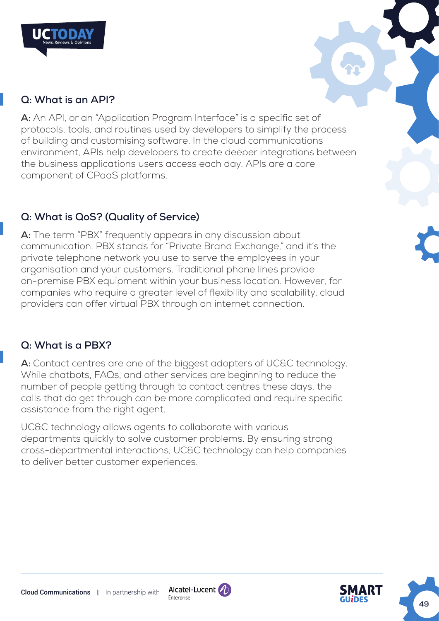

## **Q: What is an API?**

**A:** An API, or an "Application Program Interface" is a specific set of protocols, tools, and routines used by developers to simplify the process of building and customising software. In the cloud communications environment, APIs help developers to create deeper integrations between the business applications users access each day. APIs are a core component of CPaaS platforms.

## **Q: What is QoS? (Quality of Service)**

**A:** The term "PBX" frequently appears in any discussion about communication. PBX stands for "Private Brand Exchange," and it's the private telephone network you use to serve the employees in your organisation and your customers. Traditional phone lines provide on-premise PBX equipment within your business location. However, for companies who require a greater level of flexibility and scalability, cloud providers can offer virtual PBX through an internet connection.

## **Q: What is a PBX?**

A: Contact centres are one of the biggest adopters of UC&C technology. While chatbots, FAQs, and other services are beginning to reduce the number of people getting through to contact centres these days, the calls that do get through can be more complicated and require specific assistance from the right agent.

UC&C technology allows agents to collaborate with various departments quickly to solve customer problems. By ensuring strong cross-departmental interactions, UC&C technology can help companies to deliver better customer experiences.





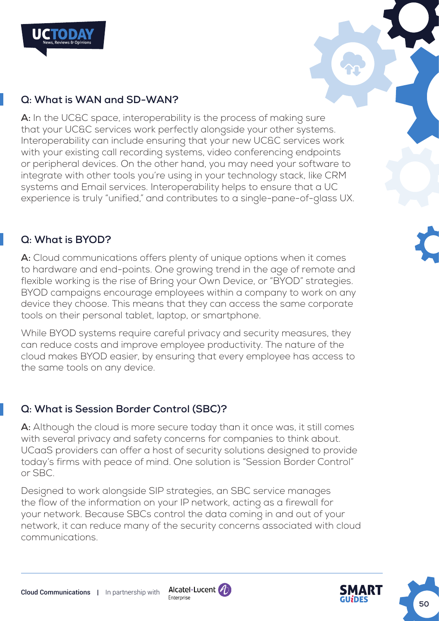

## **Q: What is WAN and SD-WAN?**

A: In the UC&C space, interoperability is the process of making sure that your UC&C services work perfectly alongside your other systems. Interoperability can include ensuring that your new UC&C services work with your existing call recording systems, video conferencing endpoints or peripheral devices. On the other hand, you may need your software to integrate with other tools you're using in your technology stack, like CRM systems and Email services. Interoperability helps to ensure that a UC experience is truly "unified," and contributes to a single-pane-of-glass UX.

#### **Q: What is BYOD?**

**A:** Cloud communications offers plenty of unique options when it comes to hardware and end-points. One growing trend in the age of remote and flexible working is the rise of Bring your Own Device, or "BYOD" strategies. BYOD campaigns encourage employees within a company to work on any device they choose. This means that they can access the same corporate tools on their personal tablet, laptop, or smartphone.

While BYOD systems require careful privacy and security measures, they can reduce costs and improve employee productivity. The nature of the cloud makes BYOD easier, by ensuring that every employee has access to the same tools on any device.

## **Q: What is Session Border Control (SBC)?**

**A:** Although the cloud is more secure today than it once was, it still comes with several privacy and safety concerns for companies to think about. UCaaS providers can offer a host of security solutions designed to provide today's firms with peace of mind. One solution is "Session Border Control" or SBC.

Designed to work alongside SIP strategies, an SBC service manages the flow of the information on your IP network, acting as a firewall for your network. Because SBCs control the data coming in and out of your network, it can reduce many of the security concerns associated with cloud communications.



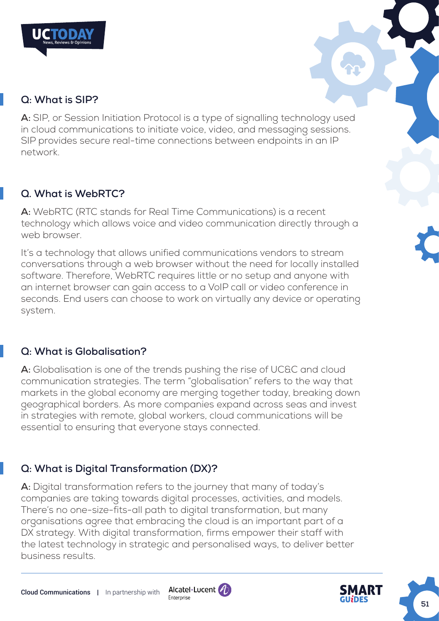

## **Q: What is SIP?**

**A:** SIP, or Session Initiation Protocol is a type of signalling technology used in cloud communications to initiate voice, video, and messaging sessions. SIP provides secure real-time connections between endpoints in an IP network.

## **Q. What is WebRTC?**

**A:** WebRTC (RTC stands for Real Time Communications) is a recent technology which allows voice and video communication directly through a web browser.

It's a technology that allows unified communications vendors to stream conversations through a web browser without the need for locally installed software. Therefore, WebRTC requires little or no setup and anyone with an internet browser can gain access to a VoIP call or video conference in seconds. End users can choose to work on virtually any device or operating system.

## **Q: What is Globalisation?**

**A:** Globalisation is one of the trends pushing the rise of UC&C and cloud communication strategies. The term "globalisation" refers to the way that markets in the global economy are merging together today, breaking down geographical borders. As more companies expand across seas and invest in strategies with remote, global workers, cloud communications will be essential to ensuring that everyone stays connected.

## **Q: What is Digital Transformation (DX)?**

**A:** Digital transformation refers to the journey that many of today's companies are taking towards digital processes, activities, and models. There's no one-size-fits-all path to digital transformation, but many organisations agree that embracing the cloud is an important part of a DX strategy. With digital transformation, firms empower their staff with the latest technology in strategic and personalised ways, to deliver better business results.